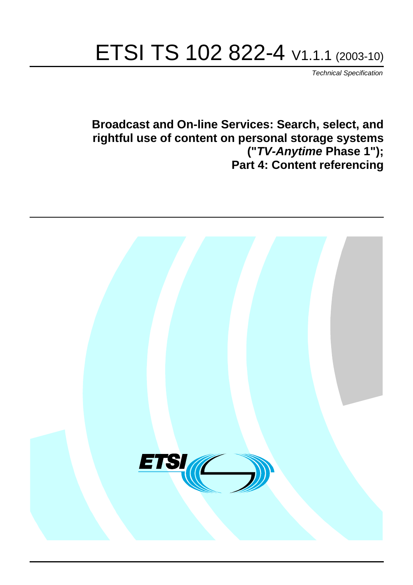# ETSI TS 102 822-4 V1.1.1 (2003-10)

Technical Specification

**Broadcast and On-line Services: Search, select, and rightful use of content on personal storage systems ("TV-Anytime Phase 1"); Part 4: Content referencing**

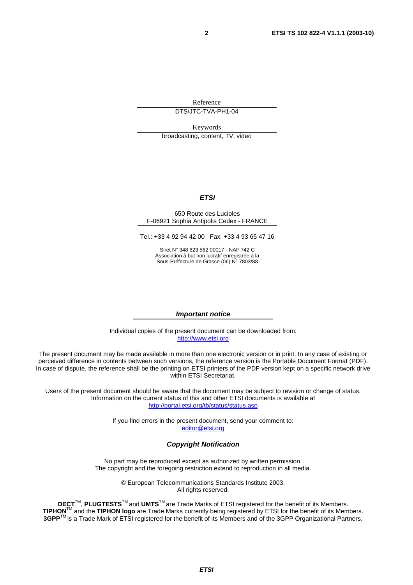Reference

DTS/JTC-TVA-PH1-04

Keywords

broadcasting, content, TV, video

#### **ETSI**

#### 650 Route des Lucioles F-06921 Sophia Antipolis Cedex - FRANCE

Tel.: +33 4 92 94 42 00 Fax: +33 4 93 65 47 16

Siret N° 348 623 562 00017 - NAF 742 C Association à but non lucratif enregistrée à la Sous-Préfecture de Grasse (06) N° 7803/88

#### **Important notice**

Individual copies of the present document can be downloaded from: [http://www.etsi.org](http://www.etsi.org/)

The present document may be made available in more than one electronic version or in print. In any case of existing or perceived difference in contents between such versions, the reference version is the Portable Document Format (PDF). In case of dispute, the reference shall be the printing on ETSI printers of the PDF version kept on a specific network drive within ETSI Secretariat.

Users of the present document should be aware that the document may be subject to revision or change of status. Information on the current status of this and other ETSI documents is available at <http://portal.etsi.org/tb/status/status.asp>

> If you find errors in the present document, send your comment to: [editor@etsi.org](mailto:editor@etsi.org)

#### **Copyright Notification**

No part may be reproduced except as authorized by written permission. The copyright and the foregoing restriction extend to reproduction in all media.

> © European Telecommunications Standards Institute 2003. All rights reserved.

**DECT**TM, **PLUGTESTS**TM and **UMTS**TM are Trade Marks of ETSI registered for the benefit of its Members. **TIPHON**TM and the **TIPHON logo** are Trade Marks currently being registered by ETSI for the benefit of its Members. **3GPP**TM is a Trade Mark of ETSI registered for the benefit of its Members and of the 3GPP Organizational Partners.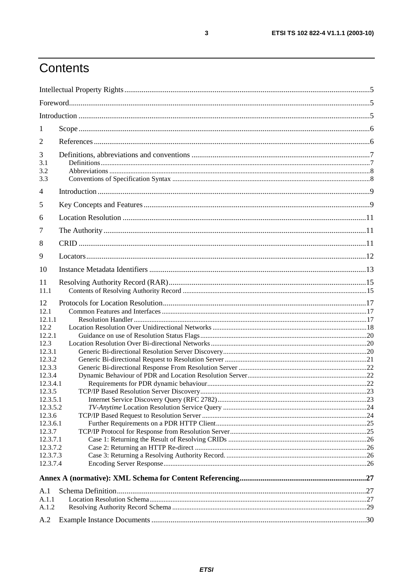## Contents

| 1                                                                                                                                                                                            |  |
|----------------------------------------------------------------------------------------------------------------------------------------------------------------------------------------------|--|
| $\overline{2}$                                                                                                                                                                               |  |
| 3<br>3.1<br>3.2<br>3.3                                                                                                                                                                       |  |
| 4                                                                                                                                                                                            |  |
| 5                                                                                                                                                                                            |  |
| 6                                                                                                                                                                                            |  |
| 7                                                                                                                                                                                            |  |
| 8                                                                                                                                                                                            |  |
| 9                                                                                                                                                                                            |  |
| 10                                                                                                                                                                                           |  |
| 11                                                                                                                                                                                           |  |
| 11.1                                                                                                                                                                                         |  |
| 12<br>12.1<br>12.1.1<br>12.2<br>12.2.1<br>12.3<br>12.3.1<br>12.3.2<br>12.3.3<br>12.3.4<br>12.3.4.1<br>12.3.5<br>12.3.5.1<br>12.3.5.2<br>12.3.6<br>12.3.6.1<br>12.3.7<br>12.3.7.1<br>12.3.7.2 |  |
| 12.3.7.3<br>12.3.7.4                                                                                                                                                                         |  |
|                                                                                                                                                                                              |  |
| A.1                                                                                                                                                                                          |  |
| A.1.1                                                                                                                                                                                        |  |
| A.1.2                                                                                                                                                                                        |  |
| A.2                                                                                                                                                                                          |  |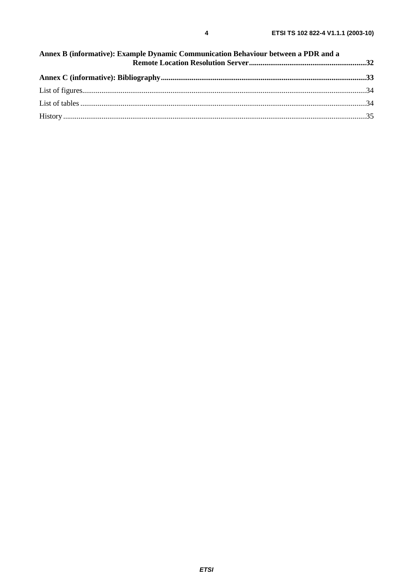| Annex B (informative): Example Dynamic Communication Behaviour between a PDR and a |  |  |
|------------------------------------------------------------------------------------|--|--|
|                                                                                    |  |  |
|                                                                                    |  |  |
|                                                                                    |  |  |
|                                                                                    |  |  |
|                                                                                    |  |  |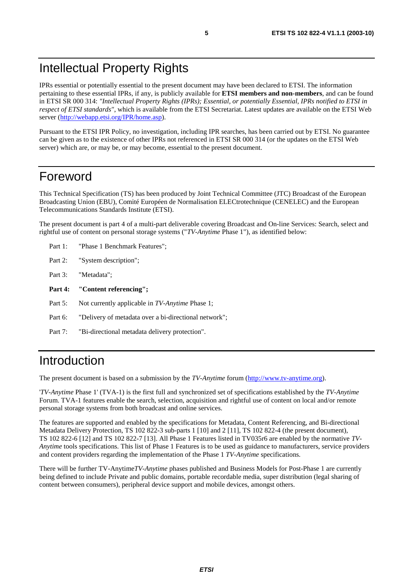## Intellectual Property Rights

IPRs essential or potentially essential to the present document may have been declared to ETSI. The information pertaining to these essential IPRs, if any, is publicly available for **ETSI members and non-members**, and can be found in ETSI SR 000 314: *"Intellectual Property Rights (IPRs); Essential, or potentially Essential, IPRs notified to ETSI in respect of ETSI standards"*, which is available from the ETSI Secretariat. Latest updates are available on the ETSI Web server ([http://webapp.etsi.org/IPR/home.asp\)](http://webapp.etsi.org/IPR/home.asp).

Pursuant to the ETSI IPR Policy, no investigation, including IPR searches, has been carried out by ETSI. No guarantee can be given as to the existence of other IPRs not referenced in ETSI SR 000 314 (or the updates on the ETSI Web server) which are, or may be, or may become, essential to the present document.

### Foreword

This Technical Specification (TS) has been produced by Joint Technical Committee (JTC) Broadcast of the European Broadcasting Union (EBU), Comité Européen de Normalisation ELECtrotechnique (CENELEC) and the European Telecommunications Standards Institute (ETSI).

The present document is part 4 of a multi-part deliverable covering Broadcast and On-line Services: Search, select and rightful use of content on personal storage systems ("*TV-Anytime* Phase 1"), as identified below:

- Part 1: "Phase 1 Benchmark Features";
- Part 2: "System description";
- Part 3: "Metadata";
- **Part 4: "Content referencing";**
- Part 5: Not currently applicable in *TV-Anytime* Phase 1;
- Part 6: "Delivery of metadata over a bi-directional network";
- Part 7: "Bi-directional metadata delivery protection".

## Introduction

The present document is based on a submission by the *TV-Anytime* forum ([http://www.tv-anytime.org](http://www.tv-anytime.org/)).

'*TV-Anytime* Phase 1' (TVA-1) is the first full and synchronized set of specifications established by the *TV-Anytime* Forum. TVA-1 features enable the search, selection, acquisition and rightful use of content on local and/or remote personal storage systems from both broadcast and online services.

The features are supported and enabled by the specifications for Metadata, Content Referencing, and Bi-directional Metadata Delivery Protection, TS 102 822-3 sub-parts 1 [10] and 2 [11], TS 102 822-4 (the present document), TS 102 822-6 [12] and TS 102 822-7 [13]. All Phase 1 Features listed in TV035r6 are enabled by the normative *TV-Anytime* tools specifications. This list of Phase 1 Features is to be used as guidance to manufacturers, service providers and content providers regarding the implementation of the Phase 1 *TV-Anytime* specifications.

There will be further TV-Anytime*TV-Anytime* phases published and Business Models for Post-Phase 1 are currently being defined to include Private and public domains, portable recordable media, super distribution (legal sharing of content between consumers), peripheral device support and mobile devices, amongst others.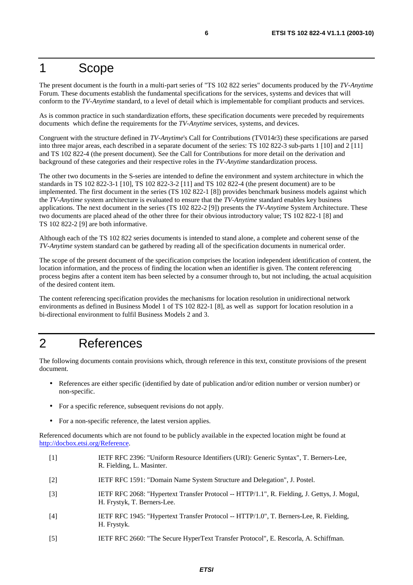### 1 Scope

The present document is the fourth in a multi-part series of "TS 102 822 series" documents produced by the *TV-Anytime* Forum. These documents establish the fundamental specifications for the services, systems and devices that will conform to the *TV-Anytime* standard, to a level of detail which is implementable for compliant products and services.

As is common practice in such standardization efforts, these specification documents were preceded by requirements documents which define the requirements for the *TV-Anytime* services, systems, and devices.

Congruent with the structure defined in *TV-Anytime*'s Call for Contributions (TV014r3) these specifications are parsed into three major areas, each described in a separate document of the series: TS 102 822-3 sub-parts 1 [10] and 2 [11] and TS 102 822-4 (the present document). See the Call for Contributions for more detail on the derivation and background of these categories and their respective roles in the *TV-Anytime* standardization process.

The other two documents in the S-series are intended to define the environment and system architecture in which the standards in TS 102 822-3-1 [10], TS 102 822-3-2 [11] and TS 102 822-4 (the present document) are to be implemented. The first document in the series (TS 102 822-1 [8]) provides benchmark business models against which the *TV-Anytime* system architecture is evaluated to ensure that the *TV-Anytime* standard enables key business applications. The next document in the series (TS 102 822-2 [9]) presents the *TV-Anytime* System Architecture. These two documents are placed ahead of the other three for their obvious introductory value; TS 102 822-1 [8] and TS 102 822-2 [9] are both informative.

Although each of the TS 102 822 series documents is intended to stand alone, a complete and coherent sense of the *TV-Anytime* system standard can be gathered by reading all of the specification documents in numerical order.

The scope of the present document of the specification comprises the location independent identification of content, the location information, and the process of finding the location when an identifier is given. The content referencing process begins after a content item has been selected by a consumer through to, but not including, the actual acquisition of the desired content item.

The content referencing specification provides the mechanisms for location resolution in unidirectional network environments as defined in Business Model 1 of TS 102 822-1 [8], as well as support for location resolution in a bi-directional environment to fulfil Business Models 2 and 3.

## 2 References

The following documents contain provisions which, through reference in this text, constitute provisions of the present document.

- References are either specific (identified by date of publication and/or edition number or version number) or non-specific.
- For a specific reference, subsequent revisions do not apply.
- For a non-specific reference, the latest version applies.

Referenced documents which are not found to be publicly available in the expected location might be found at <http://docbox.etsi.org/Reference>.

- [1] IETF RFC 2396: "Uniform Resource Identifiers (URI): Generic Syntax", T. Berners-Lee, R. Fielding, L. Masinter.
- [2] IETF RFC 1591: "Domain Name System Structure and Delegation", J. Postel.
- [3] IETF RFC 2068: "Hypertext Transfer Protocol -- HTTP/1.1", R. Fielding, J. Gettys, J. Mogul, H. Frystyk, T. Berners-Lee.
- [4] IETF RFC 1945: "Hypertext Transfer Protocol -- HTTP/1.0", T. Berners-Lee, R. Fielding, H. Frystyk.
- [5] IETF RFC 2660: "The Secure HyperText Transfer Protocol", E. Rescorla, A. Schiffman.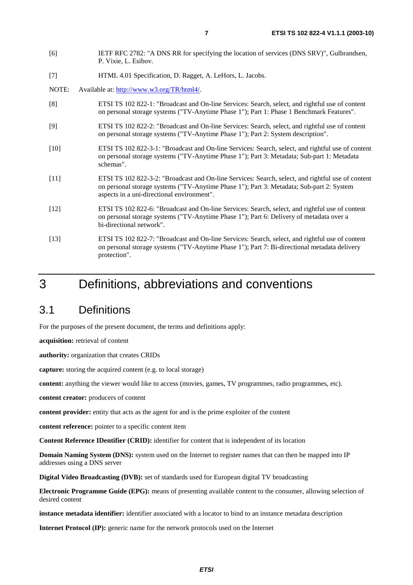- [6] IETF RFC 2782: "A DNS RR for specifying the location of services (DNS SRV)", Gulbrandsen, P. Vixie, L. Esibov.
- [7] HTML 4.01 Specification, D. Ragget, A. LeHors, L. Jacobs.
- NOTE: Available at: [http://www.w3.org/TR/html4/.](http://www.w3.org/TR/html4/)
- [8] ETSI TS 102 822-1: "Broadcast and On-line Services: Search, select, and rightful use of content on personal storage systems ("TV-Anytime Phase 1"); Part 1: Phase 1 Benchmark Features".
- [9] ETSI TS 102 822-2: "Broadcast and On-line Services: Search, select, and rightful use of content on personal storage systems ("TV-Anytime Phase 1"); Part 2: System description".
- [10] ETSI TS 102 822-3-1: "Broadcast and On-line Services: Search, select, and rightful use of content on personal storage systems ("TV-Anytime Phase 1"); Part 3: Metadata; Sub-part 1: Metadata schemas".
- [11] ETSI TS 102 822-3-2: "Broadcast and On-line Services: Search, select, and rightful use of content on personal storage systems ("TV-Anytime Phase 1"); Part 3: Metadata; Sub-part 2: System aspects in a uni-directional environment".
- [12] ETSI TS 102 822-6: "Broadcast and On-line Services: Search, select, and rightful use of content on personal storage systems ("TV-Anytime Phase 1"); Part 6: Delivery of metadata over a bi-directional network".
- [13] ETSI TS 102 822-7: "Broadcast and On-line Services: Search, select, and rightful use of content on personal storage systems ("TV-Anytime Phase 1"); Part 7: Bi-directional metadata delivery protection".

### 3 Definitions, abbreviations and conventions

### 3.1 Definitions

For the purposes of the present document, the terms and definitions apply:

**acquisition:** retrieval of content

**authority:** organization that creates CRIDs

**capture:** storing the acquired content (e.g. to local storage)

**content:** anything the viewer would like to access (movies, games, TV programmes, radio programmes, etc).

**content creator:** producers of content

**content provider:** entity that acts as the agent for and is the prime exploiter of the content

**content reference:** pointer to a specific content item

**Content Reference IDentifier (CRID):** identifier for content that is independent of its location

**Domain Naming System (DNS):** system used on the Internet to register names that can then be mapped into IP addresses using a DNS server

**Digital Video Broadcasting (DVB):** set of standards used for European digital TV broadcasting

**Electronic Programme Guide (EPG):** means of presenting available content to the consumer, allowing selection of desired content

**instance metadata identifier:** identifier associated with a locator to bind to an instance metadata description

**Internet Protocol (IP):** generic name for the network protocols used on the Internet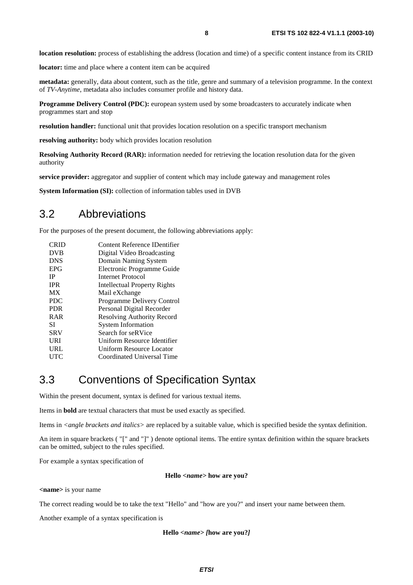**location resolution:** process of establishing the address (location and time) of a specific content instance from its CRID

**locator:** time and place where a content item can be acquired

**metadata:** generally, data about content, such as the title, genre and summary of a television programme. In the context of *TV-Anytime*, metadata also includes consumer profile and history data.

**Programme Delivery Control (PDC):** european system used by some broadcasters to accurately indicate when programmes start and stop

**resolution handler:** functional unit that provides location resolution on a specific transport mechanism

**resolving authority:** body which provides location resolution

**Resolving Authority Record (RAR):** information needed for retrieving the location resolution data for the given authority

**service provider:** aggregator and supplier of content which may include gateway and management roles

**System Information (SI):** collection of information tables used in DVB

### 3.2 Abbreviations

For the purposes of the present document, the following abbreviations apply:

| CRID       | Content Reference IDentifier      |
|------------|-----------------------------------|
| <b>DVB</b> | Digital Video Broadcasting        |
| <b>DNS</b> | Domain Naming System              |
| <b>EPG</b> | Electronic Programme Guide        |
| ΙP         | Internet Protocol                 |
| <b>IPR</b> | Intellectual Property Rights      |
| <b>MX</b>  | Mail eXchange                     |
| <b>PDC</b> | Programme Delivery Control        |
| <b>PDR</b> | Personal Digital Recorder         |
| <b>RAR</b> | <b>Resolving Authority Record</b> |
| SІ         | <b>System Information</b>         |
| <b>SRV</b> | Search for seRVice                |
| URI        | Uniform Resource Identifier       |
| URL        | Uniform Resource Locator          |
| UTC        | Coordinated Universal Time        |

### 3.3 Conventions of Specification Syntax

Within the present document, syntax is defined for various textual items.

Items in **bold** are textual characters that must be used exactly as specified.

Items in *<angle brackets and italics>* are replaced by a suitable value, which is specified beside the syntax definition.

An item in square brackets ( "[" and "]" ) denote optional items. The entire syntax definition within the square brackets can be omitted, subject to the rules specified.

For example a syntax specification of

#### **Hello** *<name>* **how are you?**

**<name>** is your name

The correct reading would be to take the text "Hello" and "how are you?" and insert your name between them.

Another example of a syntax specification is

#### **Hello** *<name> [***how are you?***]*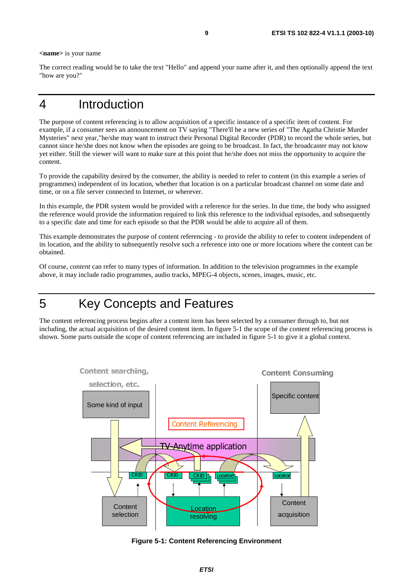**<name>** is your name

The correct reading would be to take the text "Hello" and append your name after it, and then optionally append the text "how are you?"

### 4 Introduction

The purpose of content referencing is to allow acquisition of a specific instance of a specific item of content. For example, if a consumer sees an announcement on TV saying "There'll be a new series of "The Agatha Christie Murder Mysteries" next year,"he/she may want to instruct their Personal Digital Recorder (PDR) to record the whole series, but cannot since he/she does not know when the episodes are going to be broadcast. In fact, the broadcaster may not know yet either. Still the viewer will want to make sure at this point that he/she does not miss the opportunity to acquire the content.

To provide the capability desired by the consumer, the ability is needed to refer to content (in this example a series of programmes) independent of its location, whether that location is on a particular broadcast channel on some date and time, or on a file server connected to Internet, or wherever.

In this example, the PDR system would be provided with a reference for the series. In due time, the body who assigned the reference would provide the information required to link this reference to the individual episodes, and subsequently to a specific date and time for each episode so that the PDR would be able to acquire all of them.

This example demonstrates the purpose of content referencing - to provide the ability to refer to content independent of its location, and the ability to subsequently resolve such a reference into one or more locations where the content can be obtained.

Of course, *content* can refer to many types of information. In addition to the television programmes in the example above, it may include radio programmes, audio tracks, MPEG-4 objects, scenes, images, music, etc.

## 5 Key Concepts and Features

The content referencing process begins after a content item has been selected by a consumer through to, but not including, the actual acquisition of the desired content item. In figure 5-1 the scope of the content referencing process is shown. Some parts outside the scope of content referencing are included in figure 5-1 to give it a global context.



#### **Figure 5-1: Content Referencing Environment**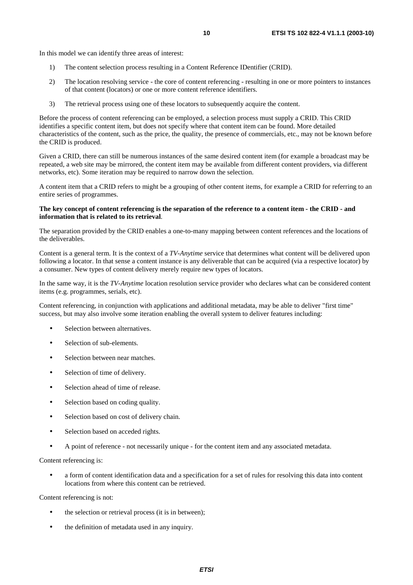In this model we can identify three areas of interest:

- 1) The content selection process resulting in a Content Reference IDentifier (CRID).
- 2) The location resolving service the core of content referencing resulting in one or more pointers to instances of that content (locators) or one or more content reference identifiers.
- 3) The retrieval process using one of these locators to subsequently acquire the content.

Before the process of content referencing can be employed, a selection process must supply a CRID. This CRID identifies a specific content item, but does not specify where that content item can be found. More detailed characteristics of the content, such as the price, the quality, the presence of commercials, etc., may not be known before the CRID is produced.

Given a CRID, there can still be numerous instances of the same desired content item (for example a broadcast may be repeated, a web site may be mirrored, the content item may be available from different content providers, via different networks, etc). Some iteration may be required to narrow down the selection.

A content item that a CRID refers to might be a grouping of other content items, for example a CRID for referring to an entire series of programmes.

#### **The key concept of content referencing is the separation of the reference to a content item - the CRID - and information that is related to its retrieval**.

The separation provided by the CRID enables a one-to-many mapping between content references and the locations of the deliverables.

Content is a general term. It is the context of a *TV-Anytime* service that determines what content will be delivered upon following a locator. In that sense a content instance is any deliverable that can be acquired (via a respective locator) by a consumer. New types of content delivery merely require new types of locators.

In the same way, it is the *TV-Anytime* location resolution service provider who declares what can be considered content items (e.g. programmes, serials, etc).

Content referencing, in conjunction with applications and additional metadata, may be able to deliver "first time" success, but may also involve some iteration enabling the overall system to deliver features including:

- Selection between alternatives.
- Selection of sub-elements.
- Selection between near matches.
- Selection of time of delivery.
- Selection ahead of time of release.
- Selection based on coding quality.
- Selection based on cost of delivery chain.
- Selection based on acceded rights.
- A point of reference not necessarily unique for the content item and any associated metadata.

Content referencing is:

• a form of content identification data and a specification for a set of rules for resolving this data into content locations from where this content can be retrieved.

Content referencing is not:

- the selection or retrieval process (it is in between);
- the definition of metadata used in any inquiry.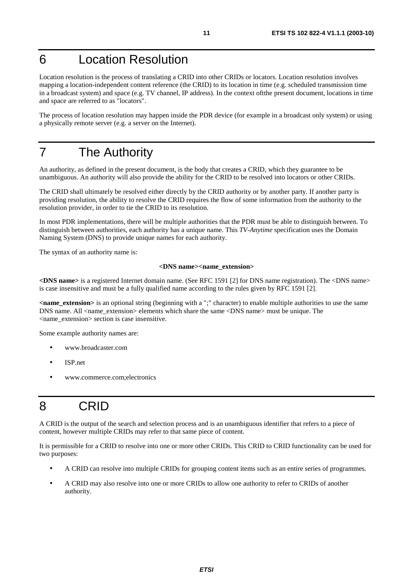## 6 Location Resolution

Location resolution is the process of translating a CRID into other CRIDs or locators. Location resolution involves mapping a location-independent content reference (the CRID) to its location in time (e.g. scheduled transmission time in a broadcast system) and space (e.g. TV channel, IP address). In the context oftthe present document, locations in time and space are referred to as "locators".

The process of location resolution may happen inside the PDR device (for example in a broadcast only system) or using a physically remote server (e.g. a server on the Internet).

## 7 The Authority

An authority, as defined in the present document, is the body that creates a CRID, which they guarantee to be unambiguous. An authority will also provide the ability for the CRID to be resolved into locators or other CRIDs.

The CRID shall ultimately be resolved either directly by the CRID authority or by another party. If another party is providing resolution, the ability to resolve the CRID requires the flow of some information from the authority to the resolution provider, in order to tie the CRID to its resolution.

In most PDR implementations, there will be multiple authorities that the PDR must be able to distinguish between. To distinguish between authorities, each authority has a unique name. This *TV-Anytime* specification uses the Domain Naming System (DNS) to provide unique names for each authority.

The syntax of an authority name is:

#### **<DNS name><name\_extension>**

**<DNS name>** is a registered Internet domain name. (See RFC 1591 [2] for DNS name registration). The <DNS name> is case insensitive and must be a fully qualified name according to the rules given by RFC 1591 [2].

**<name\_extension>** is an optional string (beginning with a ";" character) to enable multiple authorities to use the same DNS name. All <name\_extension> elements which share the same <DNS name> must be unique. The <name\_extension> section is case insensitive.

Some example authority names are:

- www.broadcaster.com
- ISP.net
- www.commerce.com;electronics

## 8 CRID

A CRID is the output of the search and selection process and is an unambiguous identifier that refers to a piece of content, however multiple CRIDs may refer to that same piece of content.

It is permissible for a CRID to resolve into one or more other CRIDs. This CRID to CRID functionality can be used for two purposes:

- A CRID can resolve into multiple CRIDs for grouping content items such as an entire series of programmes.
- A CRID may also resolve into one or more CRIDs to allow one authority to refer to CRIDs of another authority.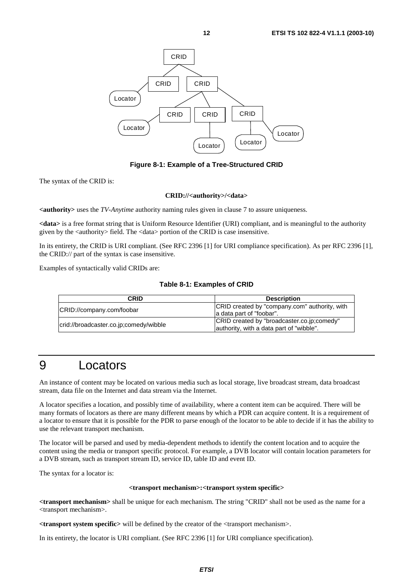

**Figure 8-1: Example of a Tree-Structured CRID** 

The syntax of the CRID is:

#### **CRID://<authority>/<data>**

**<authority>** uses the *TV-Anytime* authority naming rules given in clause 7 to assure uniqueness.

**<data>** is a free format string that is Uniform Resource Identifier (URI) compliant, and is meaningful to the authority given by the  $\langle$  authority $\rangle$  field. The  $\langle$  data $\rangle$  portion of the CRID is case insensitive.

In its entirety, the CRID is URI compliant. (See RFC 2396 [1] for URI compliance specification). As per RFC 2396 [1], the CRID:// part of the syntax is case insensitive.

Examples of syntactically valid CRIDs are:

#### **Table 8-1: Examples of CRID**

| CRID                                   | <b>Description</b>                                                                     |
|----------------------------------------|----------------------------------------------------------------------------------------|
| CRID://company.com/foobar              | CRID created by "company.com" authority, with<br>a data part of "foobar".              |
| crid://broadcaster.co.jp;comedy/wibble | CRID created by "broadcaster.co.jp;comedy"<br>authority, with a data part of "wibble". |

## 9 Locators

An instance of content may be located on various media such as local storage, live broadcast stream, data broadcast stream, data file on the Internet and data stream via the Internet.

A locator specifies a location, and possibly time of availability, where a content item can be acquired. There will be many formats of locators as there are many different means by which a PDR can acquire content. It is a requirement of a locator to ensure that it is possible for the PDR to parse enough of the locator to be able to decide if it has the ability to use the relevant transport mechanism.

The locator will be parsed and used by media-dependent methods to identify the content location and to acquire the content using the media or transport specific protocol. For example, a DVB locator will contain location parameters for a DVB stream, such as transport stream ID, service ID, table ID and event ID.

The syntax for a locator is:

#### **<transport mechanism>:<transport system specific>**

**<transport mechanism>** shall be unique for each mechanism. The string "CRID" shall not be used as the name for a <transport mechanism>.

**<transport system specific>** will be defined by the creator of the <transport mechanism>.

In its entirety, the locator is URI compliant. (See RFC 2396 [1] for URI compliance specification).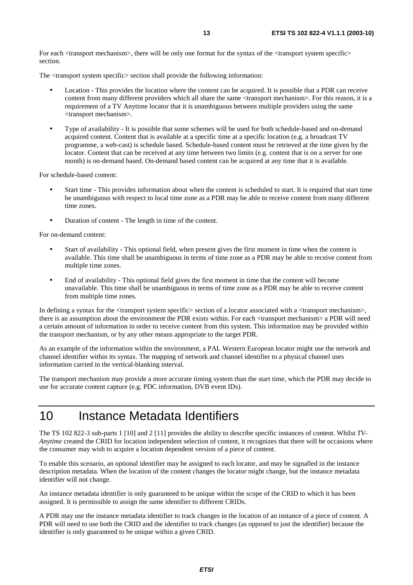For each  $\langle$ transport mechanism $\rangle$ , there will be only one format for the syntax of the  $\langle$ transport system specific $\rangle$ section.

The <transport system specific> section shall provide the following information:

- Location This provides the location where the content can be acquired. It is possible that a PDR can receive content from many different providers which all share the same <transport mechanism>. For this reason, it is a requirement of a TV Anytime locator that it is unambiguous between multiple providers using the same <transport mechanism>.
- Type of availability It is possible that some schemes will be used for both schedule-based and on-demand acquired content. Content that is available at a specific time at a specific location (e.g. a broadcast TV programme, a web-cast) is schedule based. Schedule-based content must be retrieved at the time given by the locator. Content that can be received at any time between two limits (e.g. content that is on a server for one month) is on-demand based. On-demand based content can be acquired at any time that it is available.

For schedule-based content:

- Start time This provides information about when the content is scheduled to start. It is required that start time be unambiguous with respect to local time zone as a PDR may be able to receive content from many different time zones.
- Duration of content The length in time of the content.

For on-demand content:

- Start of availability This optional field, when present gives the first moment in time when the content is available. This time shall be unambiguous in terms of time zone as a PDR may be able to receive content from multiple time zones.
- End of availability This optional field gives the first moment in time that the content will become unavailable. This time shall be unambiguous in terms of time zone as a PDR may be able to receive content from multiple time zones.

In defining a syntax for the  $\langle$ transport system specific $\rangle$  section of a locator associated with a  $\langle$ transport mechanism $\rangle$ , there is an assumption about the environment the PDR exists within. For each <transport mechanism> a PDR will need a certain amount of information in order to receive content from this system. This information may be provided within the transport mechanism, or by any other means appropriate to the target PDR.

As an example of the information within the environment, a PAL Western European locator might use the network and channel identifier within its syntax. The mapping of network and channel identifier to a physical channel uses information carried in the vertical-blanking interval.

The transport mechanism may provide a more accurate timing system than the start time, which the PDR may decide to use for accurate content capture (e.g. PDC information, DVB event IDs).

## 10 Instance Metadata Identifiers

The TS 102 822-3 sub-parts 1 [10] and 2 [11] provides the ability to describe specific instances of content. Whilst *TV-Anytime* created the CRID for location independent selection of content, it recognizes that there will be occasions where the consumer may wish to acquire a location dependent version of a piece of content.

To enable this scenario, an optional identifier may be assigned to each locator, and may be signalled in the instance description metadata. When the location of the content changes the locator might change, but the instance metadata identifier will not change.

An instance metadata identifier is only guaranteed to be unique within the scope of the CRID to which it has been assigned. It is permissible to assign the same identifier to different CRIDs.

A PDR may use the instance metadata identifier to track changes in the location of an instance of a piece of content. A PDR will need to use both the CRID and the identifier to track changes (as opposed to just the identifier) because the identifier is only guaranteed to be unique within a given CRID.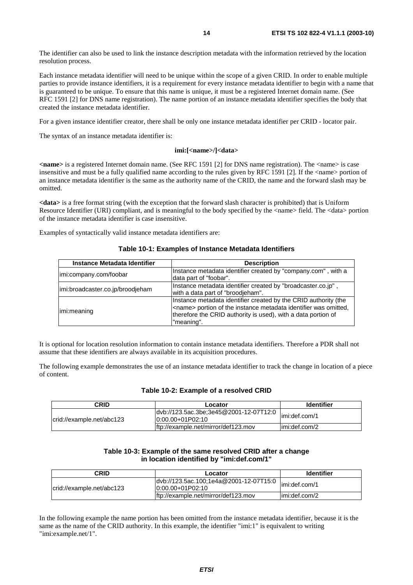The identifier can also be used to link the instance description metadata with the information retrieved by the location resolution process.

Each instance metadata identifier will need to be unique within the scope of a given CRID. In order to enable multiple parties to provide instance identifiers, it is a requirement for every instance metadata identifier to begin with a name that is guaranteed to be unique. To ensure that this name is unique, it must be a registered Internet domain name. (See RFC 1591 [2] for DNS name registration). The name portion of an instance metadata identifier specifies the body that created the instance metadata identifier.

For a given instance identifier creator, there shall be only one instance metadata identifier per CRID - locator pair.

The syntax of an instance metadata identifier is:

#### **imi:[<name>/]<data>**

**<name>** is a registered Internet domain name. (See RFC 1591 [2] for DNS name registration). The <name> is case insensitive and must be a fully qualified name according to the rules given by RFC 1591 [2]. If the <name> portion of an instance metadata identifier is the same as the authority name of the CRID, the name and the forward slash may be omitted.

**<data>** is a free format string (with the exception that the forward slash character is prohibited) that is Uniform Resource Identifier (URI) compliant, and is meaningful to the body specified by the <name> field. The <data> portion of the instance metadata identifier is case insensitive.

Examples of syntactically valid instance metadata identifiers are:

| Instance Metadata Identifier     | <b>Description</b>                                                                                                                                                                                                         |
|----------------------------------|----------------------------------------------------------------------------------------------------------------------------------------------------------------------------------------------------------------------------|
| imi:company.com/foobar           | Instance metadata identifier created by "company.com", with a<br>data part of "foobar".                                                                                                                                    |
| imi:broadcaster.co.jp/broodjeham | Instance metadata identifier created by "broadcaster.co.jp",<br>with a data part of "broodjeham".                                                                                                                          |
| imi:meaning                      | Instance metadata identifier created by the CRID authority (the<br><name> portion of the instance metadata identifier was omitted,<br/>therefore the CRID authority is used), with a data portion of<br/>"meaning".</name> |

#### **Table 10-1: Examples of Instance Metadata Identifiers**

It is optional for location resolution information to contain instance metadata identifiers. Therefore a PDR shall not assume that these identifiers are always available in its acquisition procedures.

The following example demonstrates the use of an instance metadata identifier to track the change in location of a piece of content.

#### **Table 10-2: Example of a resolved CRID**

| CRID                      | Locator                                                                       | <b>Identifier</b> |
|---------------------------|-------------------------------------------------------------------------------|-------------------|
| crid://example.net/abc123 | dvb://123.5ac.3be;3e45@2001-12-07T12:0   imi:def.com/1<br>$ 0:00.00+01P02:10$ |                   |
|                           | lftp://example.net/mirror/def123.mov                                          | limi:def.com/2    |

#### **Table 10-3: Example of the same resolved CRID after a change in location identified by "imi:def.com/1"**

| <b>CRID</b>               | Locator                                                       | <b>Identifier</b> |
|---------------------------|---------------------------------------------------------------|-------------------|
| crid://example.net/abc123 | dvb://123.5ac.100;1e4a@2001-12-07T15:0<br>$10:00.00+01P02:10$ | limi:def.com/1    |
|                           | ftp://example.net/mirror/def123.mov                           | limi:def.com/2    |

In the following example the name portion has been omitted from the instance metadata identifier, because it is the same as the name of the CRID authority. In this example, the identifier "imi:1" is equivalent to writing "imi:example.net/1".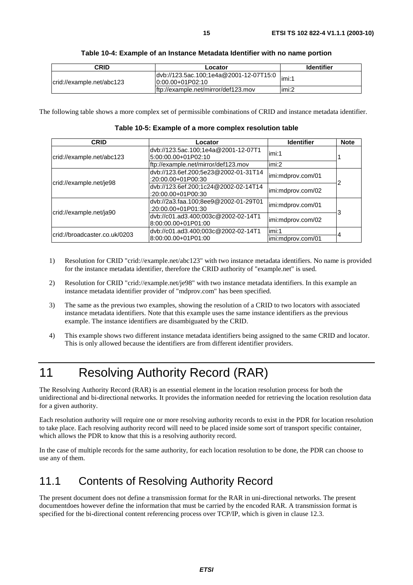| CRID                      | Locator                                                                           | <b>Identifier</b> |
|---------------------------|-----------------------------------------------------------------------------------|-------------------|
| crid://example.net/abc123 | dvb://123.5ac.100;1e4a@2001-12-07T15:0   <sub>imi:1</sub><br>$[0:00.00+01P02:10]$ |                   |
|                           | ftp://example.net/mirror/def123.mov                                               | limi:2            |

| Table 10-4: Example of an Instance Metadata Identifier with no name portion |
|-----------------------------------------------------------------------------|
|-----------------------------------------------------------------------------|

The following table shows a more complex set of permissible combinations of CRID and instance metadata identifier.

**Table 10-5: Example of a more complex resolution table** 

| <b>CRID</b>                    | Locator                                                      | <b>Identifier</b> | <b>Note</b> |
|--------------------------------|--------------------------------------------------------------|-------------------|-------------|
| crid://example.net/abc123      | dvb://123.5ac.100;1e4a@2001-12-07T1<br>5:00:00.00+01P02:10   | limi:1            |             |
|                                | ftp://example.net/mirror/def123.mov                          | imi:2             |             |
|                                | dvb://123.6ef.200;5e23@2002-01-31T14<br>$:20:00.00+01P00:30$ | imi:mdprov.com/01 |             |
| crid://example.net/je98        | dvb://123.6ef.200;1c24@2002-02-14T14<br>:20:00.00+01P00:30   | imi:mdprov.com/02 |             |
| crid://example.net/ja90        | dvb://2a3.faa.100;8ee9@2002-01-29T01<br>:20:00.00+01P01:30   | imi:mdprov.com/01 |             |
|                                | dvb://c01.ad3.400;003c@2002-02-14T1<br>8:00:00.00+01P01:00   | imi:mdprov.com/02 | 3           |
| lcrid://broadcaster.co.uk/0203 | dvb://c01.ad3.400;003c@2002-02-14T1                          | imi:1             |             |
|                                | 8:00:00.00+01P01:00                                          | imi:mdprov.com/01 |             |

- 1) Resolution for CRID "crid://example.net/abc123" with two instance metadata identifiers. No name is provided for the instance metadata identifier, therefore the CRID authority of "example.net" is used.
- 2) Resolution for CRID "crid://example.net/je98" with two instance metadata identifiers. In this example an instance metadata identifier provider of "mdprov.com" has been specified.
- 3) The same as the previous two examples, showing the resolution of a CRID to two locators with associated instance metadata identifiers. Note that this example uses the same instance identifiers as the previous example. The instance identifiers are disambiguated by the CRID.
- 4) This example shows two different instance metadata identifiers being assigned to the same CRID and locator. This is only allowed because the identifiers are from different identifier providers.

## 11 Resolving Authority Record (RAR)

The Resolving Authority Record (RAR) is an essential element in the location resolution process for both the unidirectional and bi-directional networks. It provides the information needed for retrieving the location resolution data for a given authority.

Each resolution authority will require one or more resolving authority records to exist in the PDR for location resolution to take place. Each resolving authority record will need to be placed inside some sort of transport specific container, which allows the PDR to know that this is a resolving authority record.

In the case of multiple records for the same authority, for each location resolution to be done, the PDR can choose to use any of them.

## 11.1 Contents of Resolving Authority Record

The present document does not define a transmission format for the RAR in uni-directional networks. The present documentdoes however define the information that must be carried by the encoded RAR. A transmission format is specified for the bi-directional content referencing process over TCP/IP, which is given in clause 12.3.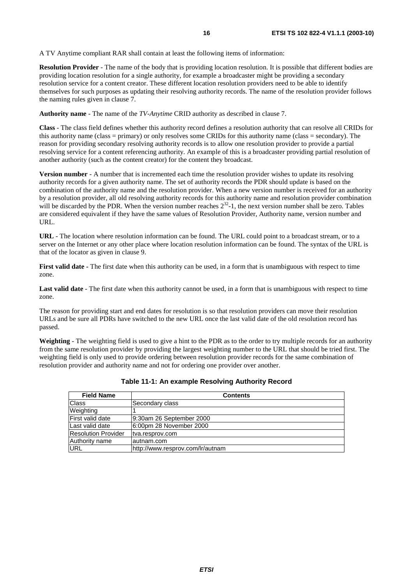A TV Anytime compliant RAR shall contain at least the following items of information:

**Resolution Provider** - The name of the body that is providing location resolution. It is possible that different bodies are providing location resolution for a single authority, for example a broadcaster might be providing a secondary resolution service for a content creator. These different location resolution providers need to be able to identify themselves for such purposes as updating their resolving authority records. The name of the resolution provider follows the naming rules given in clause 7.

**Authority name** - The name of the *TV-Anytime* CRID authority as described in clause 7.

**Class** - The class field defines whether this authority record defines a resolution authority that can resolve all CRIDs for this authority name (class = primary) or only resolves some CRIDs for this authority name (class = secondary). The reason for providing secondary resolving authority records is to allow one resolution provider to provide a partial resolving service for a content referencing authority. An example of this is a broadcaster providing partial resolution of another authority (such as the content creator) for the content they broadcast.

**Version number** - A number that is incremented each time the resolution provider wishes to update its resolving authority records for a given authority name. The set of authority records the PDR should update is based on the combination of the authority name and the resolution provider. When a new version number is received for an authority by a resolution provider, all old resolving authority records for this authority name and resolution provider combination will be discarded by the PDR. When the version number reaches  $2^{32}$ -1, the next version number shall be zero. Tables are considered equivalent if they have the same values of Resolution Provider, Authority name, version number and URL.

**URL** - The location where resolution information can be found. The URL could point to a broadcast stream, or to a server on the Internet or any other place where location resolution information can be found. The syntax of the URL is that of the locator as given in clause 9.

**First valid date -** The first date when this authority can be used, in a form that is unambiguous with respect to time zone.

**Last valid date** - The first date when this authority cannot be used, in a form that is unambiguous with respect to time zone.

The reason for providing start and end dates for resolution is so that resolution providers can move their resolution URLs and be sure all PDRs have switched to the new URL once the last valid date of the old resolution record has passed.

**Weighting** - The weighting field is used to give a hint to the PDR as to the order to try multiple records for an authority from the same resolution provider by providing the largest weighting number to the URL that should be tried first. The weighting field is only used to provide ordering between resolution provider records for the same combination of resolution provider and authority name and not for ordering one provider over another.

| <b>Field Name</b>          | <b>Contents</b>                  |
|----------------------------|----------------------------------|
| <b>Class</b>               | Secondary class                  |
| Weighting                  |                                  |
| First valid date           | 9:30am 26 September 2000         |
| Last valid date            | 6:00pm 28 November 2000          |
| <b>Resolution Provider</b> | tva.resprov.com                  |
| Authority name             | lautnam.com                      |
| <b>URL</b>                 | http://www.resprov.com/lr/autnam |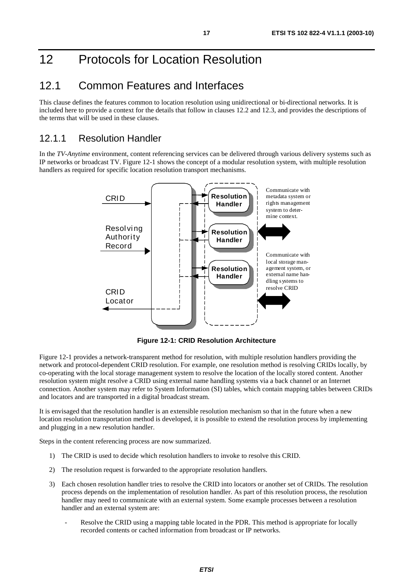## 12 Protocols for Location Resolution

### 12.1 Common Features and Interfaces

This clause defines the features common to location resolution using unidirectional or bi-directional networks. It is included here to provide a context for the details that follow in clauses 12.2 and 12.3, and provides the descriptions of the terms that will be used in these clauses.

### 12.1.1 Resolution Handler

In the *TV-Anytime* environment, content referencing services can be delivered through various delivery systems such as IP networks or broadcast TV. Figure 12-1 shows the concept of a modular resolution system, with multiple resolution handlers as required for specific location resolution transport mechanisms.



**Figure 12-1: CRID Resolution Architecture** 

Figure 12-1 provides a network-transparent method for resolution, with multiple resolution handlers providing the network and protocol-dependent CRID resolution. For example, one resolution method is resolving CRIDs locally, by co-operating with the local storage management system to resolve the location of the locally stored content. Another resolution system might resolve a CRID using external name handling systems via a back channel or an Internet connection. Another system may refer to System Information (SI) tables, which contain mapping tables between CRIDs and locators and are transported in a digital broadcast stream.

It is envisaged that the resolution handler is an extensible resolution mechanism so that in the future when a new location resolution transportation method is developed, it is possible to extend the resolution process by implementing and plugging in a new resolution handler.

Steps in the content referencing process are now summarized.

- 1) The CRID is used to decide which resolution handlers to invoke to resolve this CRID.
- 2) The resolution request is forwarded to the appropriate resolution handlers.
- 3) Each chosen resolution handler tries to resolve the CRID into locators or another set of CRIDs. The resolution process depends on the implementation of resolution handler. As part of this resolution process, the resolution handler may need to communicate with an external system. Some example processes between a resolution handler and an external system are:
	- Resolve the CRID using a mapping table located in the PDR. This method is appropriate for locally recorded contents or cached information from broadcast or IP networks.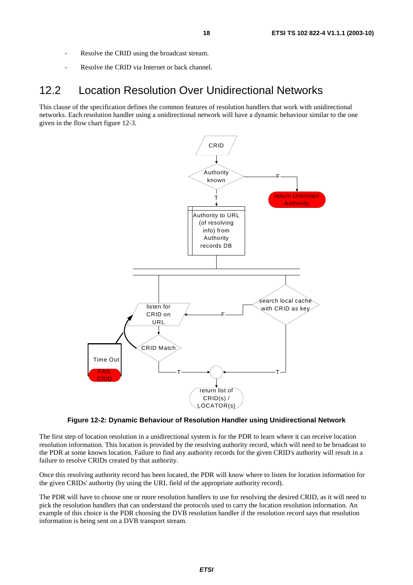- Resolve the CRID using the broadcast stream.
- Resolve the CRID via Internet or back channel.

### 12.2 Location Resolution Over Unidirectional Networks

This clause of the specification defines the common features of resolution handlers that work with unidirectional networks. Each resolution handler using a unidirectional network will have a dynamic behaviour similar to the one given in the flow chart figure 12-3.



#### **Figure 12-2: Dynamic Behaviour of Resolution Handler using Unidirectional Network**

The first step of location resolution in a unidirectional system is for the PDR to learn where it can receive location resolution information. This location is provided by the resolving authority record, which will need to be broadcast to the PDR at some known location. Failure to find any authority records for the given CRID's authority will result in a failure to resolve CRIDs created by that authority.

Once this resolving authority record has been located, the PDR will know where to listen for location information for the given CRIDs' authority (by using the URL field of the appropriate authority record).

The PDR will have to choose one or more resolution handlers to use for resolving the desired CRID, as it will need to pick the resolution handlers that can understand the protocols used to carry the location resolution information. An example of this choice is the PDR choosing the DVB resolution handler if the resolution record says that resolution information is being sent on a DVB transport stream.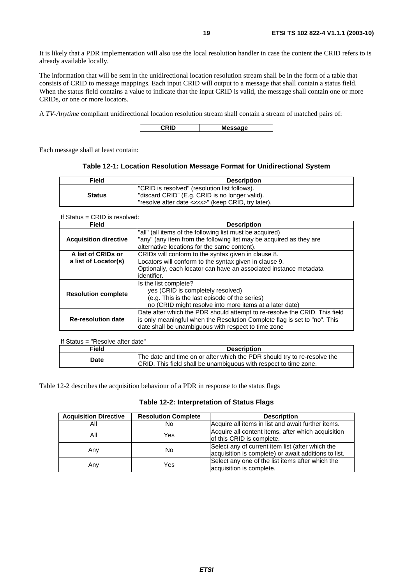It is likely that a PDR implementation will also use the local resolution handler in case the content the CRID refers to is already available locally.

The information that will be sent in the unidirectional location resolution stream shall be in the form of a table that consists of CRID to message mappings. Each input CRID will output to a message that shall contain a status field. When the status field contains a value to indicate that the input CRID is valid, the message shall contain one or more CRIDs, or one or more locators.

A *TV-Anytime* compliant unidirectional location resolution stream shall contain a stream of matched pairs of:

**CRID Message** 

Each message shall at least contain:

#### **Table 12-1: Location Resolution Message Format for Unidirectional System**

| Field         | <b>Description</b>                                                                                                                                           |
|---------------|--------------------------------------------------------------------------------------------------------------------------------------------------------------|
| <b>Status</b> | "CRID is resolved" (resolution list follows).<br>"discard CRID" (E.g. CRID is no longer valid).<br>l"resolve after date <xxx>" (keep CRID, try later).</xxx> |

If Status = CRID is resolved:

| <b>Field</b>                 | <b>Description</b>                                                         |
|------------------------------|----------------------------------------------------------------------------|
|                              | "all" (all items of the following list must be acquired)                   |
| <b>Acquisition directive</b> | "any" (any item from the following list may be acquired as they are        |
|                              | alternative locations for the same content).                               |
| A list of CRIDs or           | CRIDs will conform to the syntax given in clause 8.                        |
| a list of Locator(s)         | Locators will conform to the syntax given in clause 9.                     |
|                              | Optionally, each locator can have an associated instance metadata          |
|                              | identifier.                                                                |
|                              | Is the list complete?                                                      |
|                              | yes (CRID is completely resolved)                                          |
| <b>Resolution complete</b>   | (e.g. This is the last episode of the series)                              |
|                              | no (CRID might resolve into more items at a later date)                    |
| <b>Re-resolution date</b>    | Date after which the PDR should attempt to re-resolve the CRID. This field |
|                              | is only meaningful when the Resolution Complete flag is set to "no". This  |
|                              | date shall be unambiguous with respect to time zone                        |

| If Status = "Resolve after date" |                                                                                                                                              |
|----------------------------------|----------------------------------------------------------------------------------------------------------------------------------------------|
| <b>Field</b>                     | <b>Description</b>                                                                                                                           |
| Date                             | The date and time on or after which the PDR should try to re-resolve the<br>CRID. This field shall be unambiguous with respect to time zone. |

Table 12-2 describes the acquisition behaviour of a PDR in response to the status flags

#### **Table 12-2: Interpretation of Status Flags**

| <b>Acquisition Directive</b> | <b>Resolution Complete</b> | <b>Description</b>                                                                                       |
|------------------------------|----------------------------|----------------------------------------------------------------------------------------------------------|
| Αll                          | No                         | Acquire all items in list and await further items.                                                       |
| All                          | Yes                        | Acquire all content items, after which acquisition<br>of this CRID is complete.                          |
| Any                          | No                         | Select any of current item list (after which the<br>acquisition is complete) or await additions to list. |
| Any                          | Yes                        | Select any one of the list items after which the<br>acquisition is complete.                             |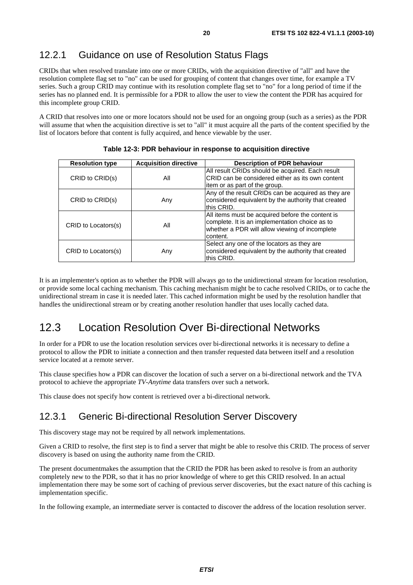### 12.2.1 Guidance on use of Resolution Status Flags

CRIDs that when resolved translate into one or more CRIDs, with the acquisition directive of "all" and have the resolution complete flag set to "no" can be used for grouping of content that changes over time, for example a TV series. Such a group CRID may continue with its resolution complete flag set to "no" for a long period of time if the series has no planned end. It is permissible for a PDR to allow the user to view the content the PDR has acquired for this incomplete group CRID.

A CRID that resolves into one or more locators should not be used for an ongoing group (such as a series) as the PDR will assume that when the acquisition directive is set to "all" it must acquire all the parts of the content specified by the list of locators before that content is fully acquired, and hence viewable by the user.

| <b>Resolution type</b> | <b>Acquisition directive</b> | <b>Description of PDR behaviour</b>                                                                                                                              |
|------------------------|------------------------------|------------------------------------------------------------------------------------------------------------------------------------------------------------------|
| CRID to CRID(s)        | All                          | All result CRIDs should be acquired. Each result<br>CRID can be considered either as its own content<br>litem or as part of the group.                           |
| CRID to CRID(s)        | Any                          | Any of the result CRIDs can be acquired as they are<br>considered equivalent by the authority that created<br>this CRID.                                         |
| CRID to Locators(s)    | All                          | All items must be acquired before the content is<br>complete. It is an implementation choice as to<br>whether a PDR will allow viewing of incomplete<br>content. |
| CRID to Locators(s)    | Any                          | Select any one of the locators as they are<br>considered equivalent by the authority that created<br>this CRID.                                                  |

**Table 12-3: PDR behaviour in response to acquisition directive** 

It is an implementer's option as to whether the PDR will always go to the unidirectional stream for location resolution, or provide some local caching mechanism. This caching mechanism might be to cache resolved CRIDs, or to cache the unidirectional stream in case it is needed later. This cached information might be used by the resolution handler that handles the unidirectional stream or by creating another resolution handler that uses locally cached data.

### 12.3 Location Resolution Over Bi-directional Networks

In order for a PDR to use the location resolution services over bi-directional networks it is necessary to define a protocol to allow the PDR to initiate a connection and then transfer requested data between itself and a resolution service located at a remote server.

This clause specifies how a PDR can discover the location of such a server on a bi-directional network and the TVA protocol to achieve the appropriate *TV-Anytime* data transfers over such a network.

This clause does not specify how content is retrieved over a bi-directional network.

### 12.3.1 Generic Bi-directional Resolution Server Discovery

This discovery stage may not be required by all network implementations.

Given a CRID to resolve, the first step is to find a server that might be able to resolve this CRID. The process of server discovery is based on using the authority name from the CRID.

The present documentmakes the assumption that the CRID the PDR has been asked to resolve is from an authority completely new to the PDR, so that it has no prior knowledge of where to get this CRID resolved. In an actual implementation there may be some sort of caching of previous server discoveries, but the exact nature of this caching is implementation specific.

In the following example, an intermediate server is contacted to discover the address of the location resolution server.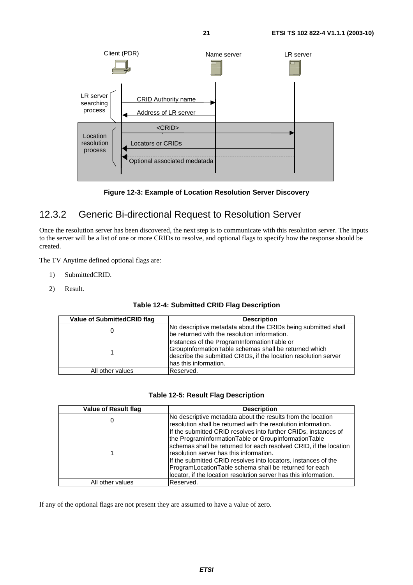



### 12.3.2 Generic Bi-directional Request to Resolution Server

Once the resolution server has been discovered, the next step is to communicate with this resolution server. The inputs to the server will be a list of one or more CRIDs to resolve, and optional flags to specify how the response should be created.

The TV Anytime defined optional flags are:

- 1) SubmittedCRID.
- 2) Result.

#### **Table 12-4: Submitted CRID Flag Description**

| Value of SubmittedCRID flag | <b>Description</b>                                                                                                                                                                               |
|-----------------------------|--------------------------------------------------------------------------------------------------------------------------------------------------------------------------------------------------|
|                             | No descriptive metadata about the CRIDs being submitted shall<br>be returned with the resolution information.                                                                                    |
|                             | Instances of the ProgramInformationTable or<br>GroupInformationTable schemas shall be returned which<br>describe the submitted CRIDs, if the location resolution server<br>has this information. |
| All other values            | lReserved.                                                                                                                                                                                       |

#### **Table 12-5: Result Flag Description**

| <b>Value of Result flag</b> | <b>Description</b>                                                |
|-----------------------------|-------------------------------------------------------------------|
| U                           | No descriptive metadata about the results from the location       |
|                             | resolution shall be returned with the resolution information.     |
|                             | If the submitted CRID resolves into further CRIDs, instances of   |
|                             | the ProgramInformationTable or GroupInformationTable              |
|                             | schemas shall be returned for each resolved CRID, if the location |
|                             | Iresolution server has this information.                          |
|                             | If the submitted CRID resolves into locators, instances of the    |
|                             | ProgramLocationTable schema shall be returned for each            |
|                             | locator, if the location resolution server has this information.  |
| All other values            | Reserved.                                                         |

If any of the optional flags are not present they are assumed to have a value of zero.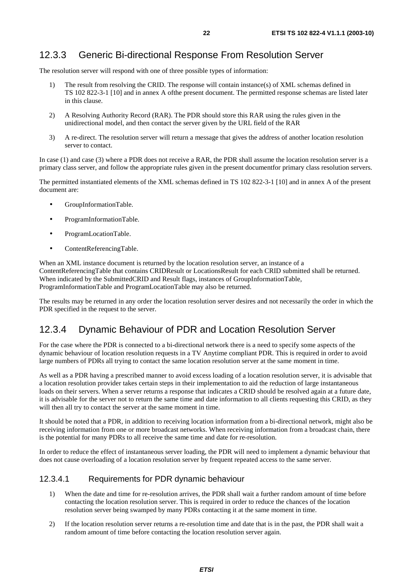### 12.3.3 Generic Bi-directional Response From Resolution Server

The resolution server will respond with one of three possible types of information:

- 1) The result from resolving the CRID. The response will contain instance(s) of XML schemas defined in TS 102 822-3-1 [10] and in annex A ofthe present document. The permitted response schemas are listed later in this clause.
- 2) A Resolving Authority Record (RAR). The PDR should store this RAR using the rules given in the unidirectional model, and then contact the server given by the URL field of the RAR
- 3) A re-direct. The resolution server will return a message that gives the address of another location resolution server to contact.

In case (1) and case (3) where a PDR does not receive a RAR, the PDR shall assume the location resolution server is a primary class server, and follow the appropriate rules given in the present documentfor primary class resolution servers.

The permitted instantiated elements of the XML schemas defined in TS 102 822-3-1 [10] and in annex A of the present document are:

- GroupInformationTable.
- ProgramInformationTable.
- ProgramLocationTable.
- ContentReferencingTable.

When an XML instance document is returned by the location resolution server, an instance of a ContentReferencingTable that contains CRIDResult or LocationsResult for each CRID submitted shall be returned. When indicated by the SubmittedCRID and Result flags, instances of GroupInformationTable, ProgramInformationTable and ProgramLocationTable may also be returned.

The results may be returned in any order the location resolution server desires and not necessarily the order in which the PDR specified in the request to the server.

#### 12.3.4 Dynamic Behaviour of PDR and Location Resolution Server

For the case where the PDR is connected to a bi-directional network there is a need to specify some aspects of the dynamic behaviour of location resolution requests in a TV Anytime compliant PDR. This is required in order to avoid large numbers of PDRs all trying to contact the same location resolution server at the same moment in time.

As well as a PDR having a prescribed manner to avoid excess loading of a location resolution server, it is advisable that a location resolution provider takes certain steps in their implementation to aid the reduction of large instantaneous loads on their servers. When a server returns a response that indicates a CRID should be resolved again at a future date, it is advisable for the server not to return the same time and date information to all clients requesting this CRID, as they will then all try to contact the server at the same moment in time.

It should be noted that a PDR, in addition to receiving location information from a bi-directional network, might also be receiving information from one or more broadcast networks. When receiving information from a broadcast chain, there is the potential for many PDRs to all receive the same time and date for re-resolution.

In order to reduce the effect of instantaneous server loading, the PDR will need to implement a dynamic behaviour that does not cause overloading of a location resolution server by frequent repeated access to the same server.

#### 12.3.4.1 Requirements for PDR dynamic behaviour

- 1) When the date and time for re-resolution arrives, the PDR shall wait a further random amount of time before contacting the location resolution server. This is required in order to reduce the chances of the location resolution server being swamped by many PDRs contacting it at the same moment in time.
- 2) If the location resolution server returns a re-resolution time and date that is in the past, the PDR shall wait a random amount of time before contacting the location resolution server again.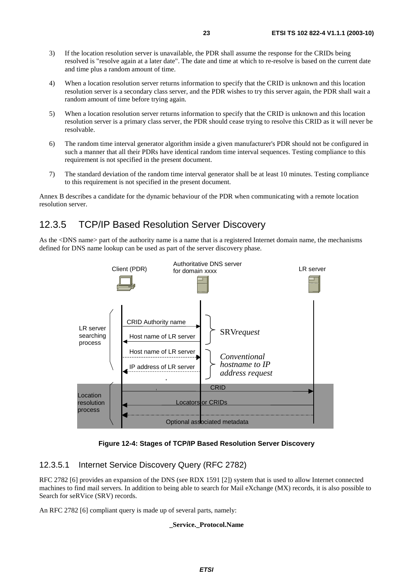- 3) If the location resolution server is unavailable, the PDR shall assume the response for the CRIDs being resolved is "resolve again at a later date". The date and time at which to re-resolve is based on the current date and time plus a random amount of time.
- 4) When a location resolution server returns information to specify that the CRID is unknown and this location resolution server is a secondary class server, and the PDR wishes to try this server again, the PDR shall wait a random amount of time before trying again.
- 5) When a location resolution server returns information to specify that the CRID is unknown and this location resolution server is a primary class server, the PDR should cease trying to resolve this CRID as it will never be resolvable.
- 6) The random time interval generator algorithm inside a given manufacturer's PDR should not be configured in such a manner that all their PDRs have identical random time interval sequences. Testing compliance to this requirement is not specified in the present document.
- 7) The standard deviation of the random time interval generator shall be at least 10 minutes. Testing compliance to this requirement is not specified in the present document.

Annex B describes a candidate for the dynamic behaviour of the PDR when communicating with a remote location resolution server.

### 12.3.5 TCP/IP Based Resolution Server Discovery

As the <DNS name> part of the authority name is a name that is a registered Internet domain name, the mechanisms defined for DNS name lookup can be used as part of the server discovery phase.



**Figure 12-4: Stages of TCP/IP Based Resolution Server Discovery** 

#### 12.3.5.1 Internet Service Discovery Query (RFC 2782)

RFC 2782 [6] provides an expansion of the DNS (see RDX 1591 [2]) system that is used to allow Internet connected machines to find mail servers. In addition to being able to search for Mail eXchange (MX) records, it is also possible to Search for seRVice (SRV) records.

An RFC 2782 [6] compliant query is made up of several parts, namely:

#### **\_Service.\_Protocol.Name**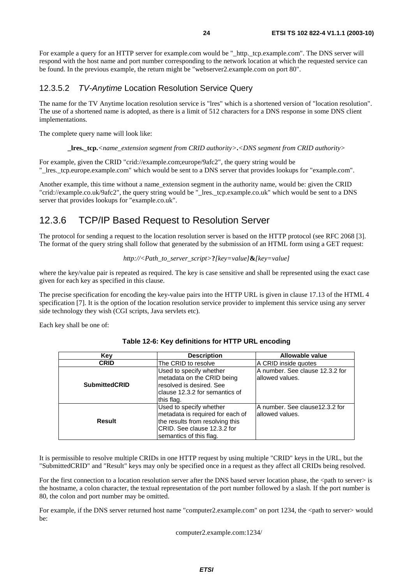For example a query for an HTTP server for example.com would be "\_http.\_tcp.example.com". The DNS server will respond with the host name and port number corresponding to the network location at which the requested service can be found. In the previous example, the return might be "webserver2.example.com on port 80".

#### 12.3.5.2 TV-Anytime Location Resolution Service Query

The name for the TV Anytime location resolution service is "lres" which is a shortened version of "location resolution". The use of a shortened name is adopted, as there is a limit of 512 characters for a DNS response in some DNS client implementations.

The complete query name will look like:

**\_lres.\_tcp.***<name\_extension segment from CRID authority>***.***<DNS segment from CRID authority>*

For example, given the CRID "crid://example.com;europe/9afc2", the query string would be "\_lres.\_tcp.europe.example.com" which would be sent to a DNS server that provides lookups for "example.com".

Another example, this time without a name\_extension segment in the authority name, would be: given the CRID "crid://example.co.uk/9afc2", the query string would be "\_lres.\_tcp.example.co.uk" which would be sent to a DNS server that provides lookups for "example.co.uk".

### 12.3.6 TCP/IP Based Request to Resolution Server

The protocol for sending a request to the location resolution server is based on the HTTP protocol (see RFC 2068 [3]. The format of the query string shall follow that generated by the submission of an HTML form using a GET request:

```
http://<Path_to_server_script>?[key=value]&[key=value]
```
where the key/value pair is repeated as required. The key is case sensitive and shall be represented using the exact case given for each key as specified in this clause.

The precise specification for encoding the key-value pairs into the HTTP URL is given in clause 17.13 of the HTML 4 specification [7]. It is the option of the location resolution service provider to implement this service using any server side technology they wish (CGI scripts, Java servlets etc).

Each key shall be one of:

| Key                  | <b>Description</b>                                                                                                                                        | Allowable value                                     |
|----------------------|-----------------------------------------------------------------------------------------------------------------------------------------------------------|-----------------------------------------------------|
| <b>CRID</b>          | The CRID to resolve                                                                                                                                       | A CRID inside quotes                                |
| <b>SubmittedCRID</b> | Used to specify whether<br>metadata on the CRID being<br>resolved is desired. See<br>clause 12.3.2 for semantics of<br>this flag.                         | A number. See clause 12.3.2 for<br>allowed values.  |
| <b>Result</b>        | Used to specify whether<br>metadata is required for each of<br>the results from resolving this<br>ICRID. See clause 12.3.2 for<br>semantics of this flag. | A number. See clause 12.3.2 for<br>lallowed values. |

#### **Table 12-6: Key definitions for HTTP URL encoding**

It is permissible to resolve multiple CRIDs in one HTTP request by using multiple "CRID" keys in the URL, but the "SubmittedCRID" and "Result" keys may only be specified once in a request as they affect all CRIDs being resolved.

For the first connection to a location resolution server after the DNS based server location phase, the  $\leq$ path to server> is the hostname, a colon character, the textual representation of the port number followed by a slash. If the port number is 80, the colon and port number may be omitted.

For example, if the DNS server returned host name "computer2.example.com" on port 1234, the <path to server> would be:

computer2.example.com:1234/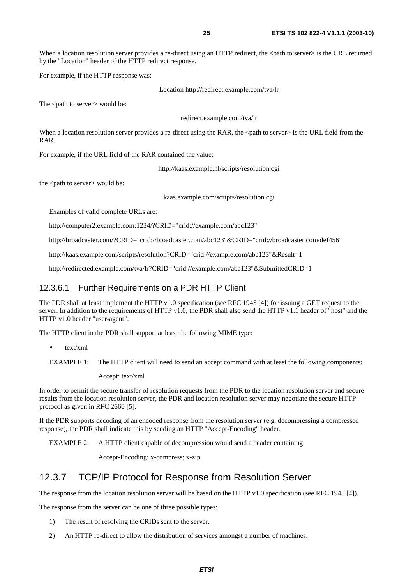When a location resolution server provides a re-direct using an HTTP redirect, the <path to server> is the URL returned by the "Location" header of the HTTP redirect response.

For example, if the HTTP response was:

Location http://redirect.example.com/tva/lr

The <path to server> would be:

redirect.example.com/tva/lr

When a location resolution server provides a re-direct using the RAR, the <path to server> is the URL field from the RAR.

For example, if the URL field of the RAR contained the value:

http://kaas.example.nl/scripts/resolution.cgi

the <path to server> would be:

kaas.example.com/scripts/resolution.cgi

Examples of valid complete URLs are:

http://computer2.example.com:1234/?CRID="crid://example.com/abc123"

http://broadcaster.com/?CRID="crid://broadcaster.com/abc123"&CRID="crid://broadcaster.com/def456"

http://kaas.example.com/scripts/resolution?CRID="crid://example.com/abc123"&Result=1

http://redirected.example.com/tva/lr?CRID="crid://example.com/abc123"&SubmittedCRID=1

#### 12.3.6.1 Further Requirements on a PDR HTTP Client

The PDR shall at least implement the HTTP v1.0 specification (see RFC 1945 [4]) for issuing a GET request to the server. In addition to the requirements of HTTP v1.0, the PDR shall also send the HTTP v1.1 header of "host" and the HTTP v1.0 header "user-agent".

The HTTP client in the PDR shall support at least the following MIME type:

• text/xml

```
EXAMPLE 1: The HTTP client will need to send an accept command with at least the following components:
```
Accept: text/xml

In order to permit the secure transfer of resolution requests from the PDR to the location resolution server and secure results from the location resolution server, the PDR and location resolution server may negotiate the secure HTTP protocol as given in RFC 2660 [5].

If the PDR supports decoding of an encoded response from the resolution server (e.g. decompressing a compressed response), the PDR shall indicate this by sending an HTTP "Accept-Encoding" header.

EXAMPLE 2: A HTTP client capable of decompression would send a header containing:

Accept-Encoding: x-compress; x-zip

#### 12.3.7 TCP/IP Protocol for Response from Resolution Server

The response from the location resolution server will be based on the HTTP v1.0 specification (see RFC 1945 [4]).

The response from the server can be one of three possible types:

- 1) The result of resolving the CRIDs sent to the server.
- 2) An HTTP re-direct to allow the distribution of services amongst a number of machines.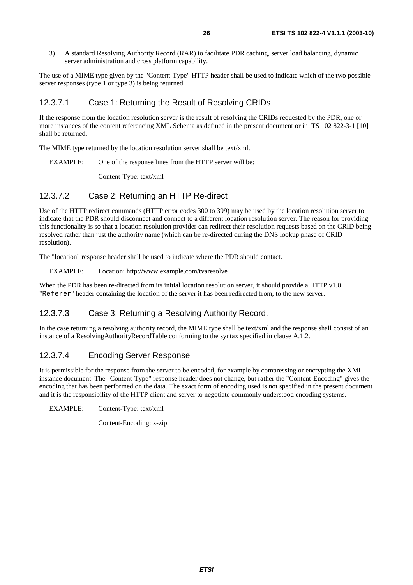3) A standard Resolving Authority Record (RAR) to facilitate PDR caching, server load balancing, dynamic server administration and cross platform capability.

The use of a MIME type given by the "Content-Type" HTTP header shall be used to indicate which of the two possible server responses (type 1 or type 3) is being returned.

#### 12.3.7.1 Case 1: Returning the Result of Resolving CRIDs

If the response from the location resolution server is the result of resolving the CRIDs requested by the PDR, one or more instances of the content referencing XML Schema as defined in the present document or in TS 102 822-3-1 [10] shall be returned.

The MIME type returned by the location resolution server shall be text/xml.

EXAMPLE: One of the response lines from the HTTP server will be:

Content-Type: text/xml

#### 12.3.7.2 Case 2: Returning an HTTP Re-direct

Use of the HTTP redirect commands (HTTP error codes 300 to 399) may be used by the location resolution server to indicate that the PDR should disconnect and connect to a different location resolution server. The reason for providing this functionality is so that a location resolution provider can redirect their resolution requests based on the CRID being resolved rather than just the authority name (which can be re-directed during the DNS lookup phase of CRID resolution).

The "location" response header shall be used to indicate where the PDR should contact.

EXAMPLE: Location: http://www.example.com/tvaresolve

When the PDR has been re-directed from its initial location resolution server, it should provide a HTTP v1.0 "Referer" header containing the location of the server it has been redirected from, to the new server.

#### 12.3.7.3 Case 3: Returning a Resolving Authority Record.

In the case returning a resolving authority record, the MIME type shall be text/xml and the response shall consist of an instance of a ResolvingAuthorityRecordTable conforming to the syntax specified in clause A.1.2.

#### 12.3.7.4 Encoding Server Response

It is permissible for the response from the server to be encoded, for example by compressing or encrypting the XML instance document. The "Content-Type" response header does not change, but rather the "Content-Encoding" gives the encoding that has been performed on the data. The exact form of encoding used is not specified in the present document and it is the responsibility of the HTTP client and server to negotiate commonly understood encoding systems.

EXAMPLE: Content-Type: text/xml

Content-Encoding: x-zip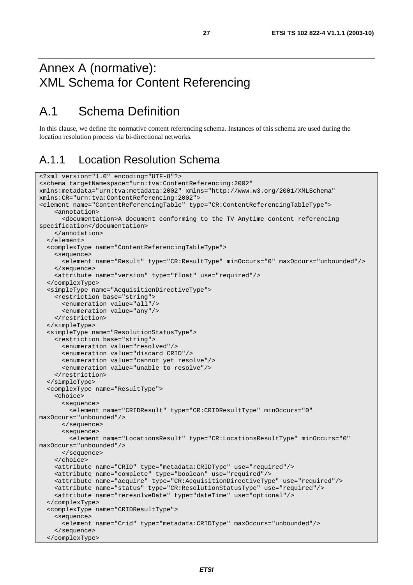## Annex A (normative): XML Schema for Content Referencing

## A.1 Schema Definition

In this clause, we define the normative content referencing schema. Instances of this schema are used during the location resolution process via bi-directional networks.

## A.1.1 Location Resolution Schema

```
<?xml version="1.0" encoding="UTF-8"?> 
<schema targetNamespace="urn:tva:ContentReferencing:2002" 
xmlns:metadata="urn:tva:metadata:2002" xmlns="http://www.w3.org/2001/XMLSchema" 
xmlns:CR="urn:tva:ContentReferencing:2002"> 
<element name="ContentReferencingTable" type="CR:ContentReferencingTableType"> 
     <annotation> 
       <documentation>A document conforming to the TV Anytime content referencing 
specification</documentation> 
     </annotation> 
   </element> 
   <complexType name="ContentReferencingTableType"> 
     <sequence> 
       <element name="Result" type="CR:ResultType" minOccurs="0" maxOccurs="unbounded"/> 
     </sequence> 
     <attribute name="version" type="float" use="required"/> 
   </complexType> 
   <simpleType name="AcquisitionDirectiveType"> 
     <restriction base="string"> 
       <enumeration value="all"/> 
       <enumeration value="any"/> 
     </restriction> 
   </simpleType> 
   <simpleType name="ResolutionStatusType"> 
     <restriction base="string"> 
       <enumeration value="resolved"/> 
       <enumeration value="discard CRID"/> 
       <enumeration value="cannot yet resolve"/> 
       <enumeration value="unable to resolve"/> 
     </restriction> 
   </simpleType> 
   <complexType name="ResultType"> 
     <choice> 
       <sequence> 
         <element name="CRIDResult" type="CR:CRIDResultType" minOccurs="0" 
maxOccurs="unbounded"/> 
       </sequence> 
       <sequence> 
         <element name="LocationsResult" type="CR:LocationsResultType" minOccurs="0" 
maxOccurs="unbounded"/> 
       </sequence> 
     </choice> 
     <attribute name="CRID" type="metadata:CRIDType" use="required"/> 
     <attribute name="complete" type="boolean" use="required"/> 
     <attribute name="acquire" type="CR:AcquisitionDirectiveType" use="required"/> 
     <attribute name="status" type="CR:ResolutionStatusType" use="required"/> 
     <attribute name="reresolveDate" type="dateTime" use="optional"/> 
   </complexType> 
   <complexType name="CRIDResultType"> 
     <sequence> 
       <element name="Crid" type="metadata:CRIDType" maxOccurs="unbounded"/> 
     </sequence> 
   </complexType>
```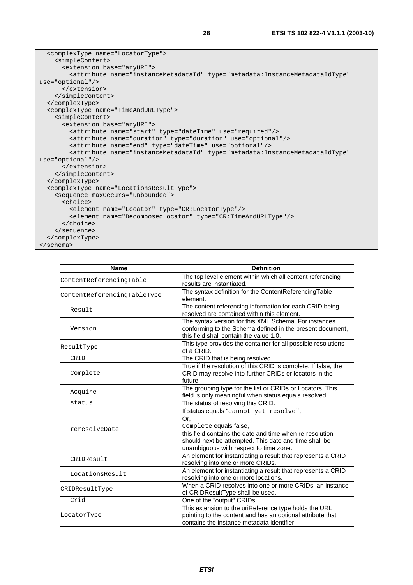```
 <complexType name="LocatorType"> 
     <simpleContent> 
       <extension base="anyURI"> 
         <attribute name="instanceMetadataId" type="metadata:InstanceMetadataIdType" 
use="optional"/> 
       </extension> 
     </simpleContent> 
   </complexType> 
   <complexType name="TimeAndURLType"> 
     <simpleContent> 
       <extension base="anyURI"> 
         <attribute name="start" type="dateTime" use="required"/> 
         <attribute name="duration" type="duration" use="optional"/> 
         <attribute name="end" type="dateTime" use="optional"/> 
         <attribute name="instanceMetadataId" type="metadata:InstanceMetadataIdType" 
use="optional"/> 
       </extension> 
     </simpleContent> 
   </complexType> 
   <complexType name="LocationsResultType"> 
     <sequence maxOccurs="unbounded"> 
       <choice> 
         <element name="Locator" type="CR:LocatorType"/> 
         <element name="DecomposedLocator" type="CR:TimeAndURLType"/> 
       </choice> 
     </sequence> 
   </complexType> 
</schema>
```

| <b>Name</b>                                                                                                                                                                                                    | <b>Definition</b>                                                                                                                            |
|----------------------------------------------------------------------------------------------------------------------------------------------------------------------------------------------------------------|----------------------------------------------------------------------------------------------------------------------------------------------|
|                                                                                                                                                                                                                | The top level element within which all content referencing                                                                                   |
|                                                                                                                                                                                                                | results are instantiated.                                                                                                                    |
| ContentReferencingTable<br>ContentReferencingTableType<br>Result<br>Version<br>ResultType<br>CRID<br>Complete<br>Acquire<br>status<br>reresolveDate<br>CRIDResult<br>LocationsResult<br>CRIDResultType<br>Crid | The syntax definition for the ContentReferencingTable                                                                                        |
|                                                                                                                                                                                                                | element.                                                                                                                                     |
|                                                                                                                                                                                                                | The content referencing information for each CRID being                                                                                      |
|                                                                                                                                                                                                                | resolved are contained within this element.                                                                                                  |
|                                                                                                                                                                                                                | The syntax version for this XML Schema. For instances                                                                                        |
|                                                                                                                                                                                                                | conforming to the Schema defined in the present document,                                                                                    |
|                                                                                                                                                                                                                | this field shall contain the value 1.0.                                                                                                      |
|                                                                                                                                                                                                                | This type provides the container for all possible resolutions                                                                                |
|                                                                                                                                                                                                                | of a CRID.                                                                                                                                   |
|                                                                                                                                                                                                                | The CRID that is being resolved.                                                                                                             |
|                                                                                                                                                                                                                | True if the resolution of this CRID is complete. If false, the                                                                               |
|                                                                                                                                                                                                                | CRID may resolve into further CRIDs or locators in the                                                                                       |
|                                                                                                                                                                                                                | future.                                                                                                                                      |
|                                                                                                                                                                                                                | The grouping type for the list or CRIDs or Locators. This                                                                                    |
|                                                                                                                                                                                                                |                                                                                                                                              |
|                                                                                                                                                                                                                |                                                                                                                                              |
|                                                                                                                                                                                                                |                                                                                                                                              |
|                                                                                                                                                                                                                | field is only meaningful when status equals resolved.<br>The status of resolving this CRID.<br>If status equals "cannot yet resolve",<br>Or. |
|                                                                                                                                                                                                                | Complete equals false,                                                                                                                       |
|                                                                                                                                                                                                                | this field contains the date and time when re-resolution                                                                                     |
|                                                                                                                                                                                                                | should next be attempted. This date and time shall be                                                                                        |
|                                                                                                                                                                                                                | unambiguous with respect to time zone.                                                                                                       |
|                                                                                                                                                                                                                | An element for instantiating a result that represents a CRID                                                                                 |
|                                                                                                                                                                                                                | resolving into one or more CRIDs.                                                                                                            |
|                                                                                                                                                                                                                | An element for instantiating a result that represents a CRID                                                                                 |
|                                                                                                                                                                                                                | resolving into one or more locations.                                                                                                        |
|                                                                                                                                                                                                                | When a CRID resolves into one or more CRIDs, an instance                                                                                     |
|                                                                                                                                                                                                                | of CRIDResultType shall be used.                                                                                                             |
|                                                                                                                                                                                                                | One of the "output" CRIDs.                                                                                                                   |
|                                                                                                                                                                                                                | This extension to the uriReference type holds the URL                                                                                        |
| LocatorType                                                                                                                                                                                                    | pointing to the content and has an optional attribute that                                                                                   |
|                                                                                                                                                                                                                | contains the instance metadata identifier.                                                                                                   |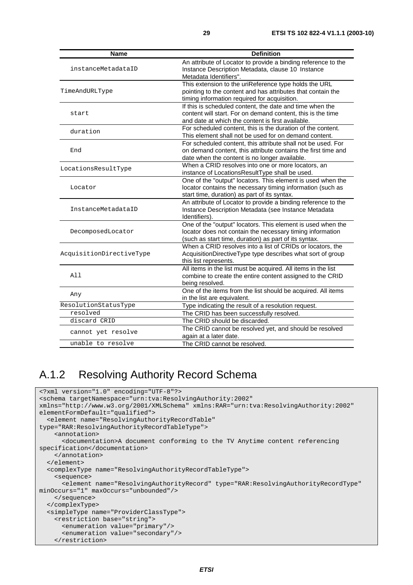| Name                     | <b>Definition</b>                                                                                                                                                                 |
|--------------------------|-----------------------------------------------------------------------------------------------------------------------------------------------------------------------------------|
| instanceMetadataID       | An attribute of Locator to provide a binding reference to the<br>Instance Description Metadata, clause 10 Instance<br>Metadata Identifiers".                                      |
| TimeAndURLType           | This extension to the uriReference type holds the URL<br>pointing to the content and has attributes that contain the<br>timing information required for acquisition.              |
| start                    | If this is scheduled content, the date and time when the<br>content will start. For on demand content, this is the time<br>and date at which the content is first available.      |
| duration                 | For scheduled content, this is the duration of the content.<br>This element shall not be used for on demand content.                                                              |
| End                      | For scheduled content, this attribute shall not be used. For<br>on demand content, this attribute contains the first time and<br>date when the content is no longer available.    |
| LocationsResultType      | When a CRID resolves into one or more locators, an<br>instance of LocationsResultType shall be used.                                                                              |
| Locator                  | One of the "output" locators. This element is used when the<br>locator contains the necessary timing information (such as<br>start time, duration) as part of its syntax.         |
| InstanceMetadataID       | An attribute of Locator to provide a binding reference to the<br>Instance Description Metadata (see Instance Metadata<br>Identifiers).                                            |
| DecomposedLocator        | One of the "output" locators. This element is used when the<br>locator does not contain the necessary timing information<br>(such as start time, duration) as part of its syntax. |
| AcquisitionDirectiveType | When a CRID resolves into a list of CRIDs or locators, the<br>AcquisitionDirectiveType type describes what sort of group<br>this list represents.                                 |
| All                      | All items in the list must be acquired. All items in the list<br>combine to create the entire content assigned to the CRID<br>being resolved.                                     |
| Any                      | One of the items from the list should be acquired. All items<br>in the list are equivalent.                                                                                       |
| ResolutionStatusType     | Type indicating the result of a resolution request.                                                                                                                               |
| resolved                 | The CRID has been successfully resolved.                                                                                                                                          |
| discard CRID             | The CRID should be discarded.                                                                                                                                                     |
| cannot yet resolve       | The CRID cannot be resolved yet, and should be resolved<br>again at a later date.                                                                                                 |
| unable to resolve        | The CRID cannot be resolved.                                                                                                                                                      |

## A.1.2 Resolving Authority Record Schema

```
<?xml version="1.0" encoding="UTF-8"?> 
<schema targetNamespace="urn:tva:ResolvingAuthority:2002" 
xmlns="http://www.w3.org/2001/XMLSchema" xmlns:RAR="urn:tva:ResolvingAuthority:2002" 
elementFormDefault="qualified"> 
   <element name="ResolvingAuthorityRecordTable" 
type="RAR:ResolvingAuthorityRecordTableType"> 
     <annotation> 
       <documentation>A document conforming to the TV Anytime content referencing 
specification</documentation> 
     </annotation> 
   </element> 
   <complexType name="ResolvingAuthorityRecordTableType"> 
     <sequence> 
       <element name="ResolvingAuthorityRecord" type="RAR:ResolvingAuthorityRecordType" 
minOccurs="1" maxOccurs="unbounded"/> 
     </sequence> 
   </complexType> 
   <simpleType name="ProviderClassType"> 
     <restriction base="string"> 
       <enumeration value="primary"/> 
       <enumeration value="secondary"/> 
     </restriction>
```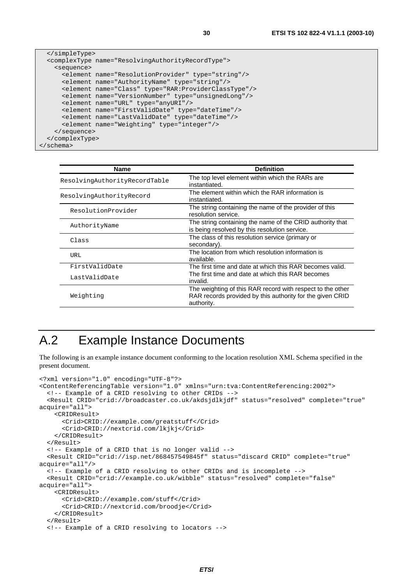```
 </simpleType> 
  <complexType name="ResolvingAuthorityRecordType"> 
     <sequence> 
       <element name="ResolutionProvider" type="string"/> 
       <element name="AuthorityName" type="string"/> 
       <element name="Class" type="RAR:ProviderClassType"/> 
       <element name="VersionNumber" type="unsignedLong"/> 
       <element name="URL" type="anyURI"/> 
       <element name="FirstValidDate" type="dateTime"/> 
       <element name="LastValidDate" type="dateTime"/> 
       <element name="Weighting" type="integer"/> 
     </sequence> 
  </complexType> 
</schema>
```

| <b>Name</b>                   | <b>Definition</b>                                                                                                                     |
|-------------------------------|---------------------------------------------------------------------------------------------------------------------------------------|
| ResolvingAuthorityRecordTable | The top level element within which the RARs are<br>instantiated.                                                                      |
| ResolvingAuthorityRecord      | The element within which the RAR information is<br>instantiated.                                                                      |
| ResolutionProvider            | The string containing the name of the provider of this<br>resolution service.                                                         |
| AuthorityName                 | The string containing the name of the CRID authority that<br>is being resolved by this resolution service.                            |
| Class                         | The class of this resolution service (primary or<br>secondary).                                                                       |
| <b>URL</b>                    | The location from which resolution information is<br>available.                                                                       |
| FirstValidDate                | The first time and date at which this RAR becomes valid.                                                                              |
| LastValidDate                 | The first time and date at which this RAR becomes<br>invalid.                                                                         |
| Weighting                     | The weighting of this RAR record with respect to the other<br>RAR records provided by this authority for the given CRID<br>authority. |

## A.2 Example Instance Documents

The following is an example instance document conforming to the location resolution XML Schema specified in the present document.

```
<?xml version="1.0" encoding="UTF-8"?> 
<ContentReferencingTable version="1.0" xmlns="urn:tva:ContentReferencing:2002"> 
   <!-- Example of a CRID resolving to other CRIDs --> 
   <Result CRID="crid://broadcaster.co.uk/akdsjdlkjdf" status="resolved" complete="true" 
acquire="all"> 
     <CRIDResult> 
       <Crid>CRID://example.com/greatstuff</Crid> 
       <Crid>CRID://nextcrid.com/lkjkj</Crid> 
     </CRIDResult> 
   </Result> 
   <!-- Example of a CRID that is no longer valid --> 
   <Result CRID="crid://isp.net/868457549845f" status="discard CRID" complete="true" 
acquire="all"/> 
   <!-- Example of a CRID resolving to other CRIDs and is incomplete --> 
   <Result CRID="crid://example.co.uk/wibble" status="resolved" complete="false" 
acquire="all"> 
     <CRIDResult> 
       <Crid>CRID://example.com/stuff</Crid> 
       <Crid>CRID://nextcrid.com/broodje</Crid> 
     </CRIDResult> 
   </Result> 
   <!-- Example of a CRID resolving to locators -->
```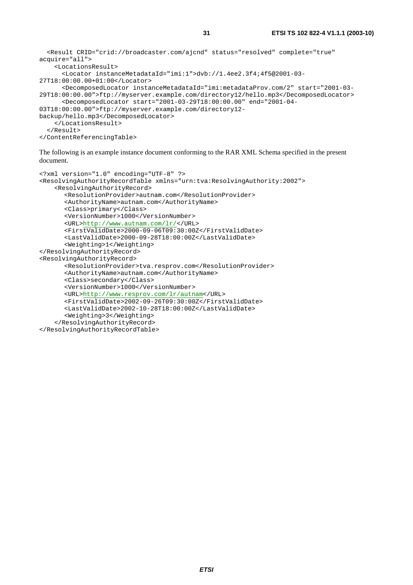```
 <Result CRID="crid://broadcaster.com/ajcnd" status="resolved" complete="true" 
acquire="all"> 
     <LocationsResult> 
       <Locator instanceMetadataId="imi:1">dvb://1.4ee2.3f4;4f5@2001-03-
27T18:00:00.00+01:00</Locator> 
       <DecomposedLocator instanceMetadataId="imi:metadataProv.com/2" start="2001-03-
29T18:00:00.00">ftp://myserver.example.com/directory12/hello.mp3</DecomposedLocator> 
       <DecomposedLocator start="2001-03-29T18:00:00.00" end="2001-04-
03T18:00:00.00">ftp://myserver.example.com/directory12-
backup/hello.mp3</DecomposedLocator> 
     </LocationsResult> 
   </Result> 
</ContentReferencingTable>
```
The following is an example instance document conforming to the RAR XML Schema specified in the present document.

```
<?xml version="1.0" encoding="UTF-8" ?> 
<ResolvingAuthorityRecordTable xmlns="urn:tva:ResolvingAuthority:2002"> 
     <ResolvingAuthorityRecord> 
      <ResolutionProvider>autnam.com</ResolutionProvider> 
       <AuthorityName>autnam.com</AuthorityName> 
       <Class>primary</Class> 
      <VersionNumber>1000</VersionNumber> 
      <URL>http://www.autnam.com/lr/</URL> 
       <FirstValidDate>2000-09-06T09:30:00Z</FirstValidDate> 
       <LastValidDate>2000-09-28T18:00:00Z</LastValidDate> 
       <Weighting>1</Weighting> 
</ResolvingAuthorityRecord> 
<ResolvingAuthorityRecord> 
       <ResolutionProvider>tva.resprov.com</ResolutionProvider> 
       <AuthorityName>autnam.com</AuthorityName> 
       <Class>secondary</Class> 
      <VersionNumber>1000</VersionNumber> 
      <URL>http://www.resprov.com/lr/autnam</URL> 
      <FirstValidDate>2002-09-26T09:30:00Z</FirstValidDate> 
      <LastValidDate>2002-10-28T18:00:00Z</LastValidDate> 
       <Weighting>3</Weighting> 
     </ResolvingAuthorityRecord> 
</ResolvingAuthorityRecordTable>
```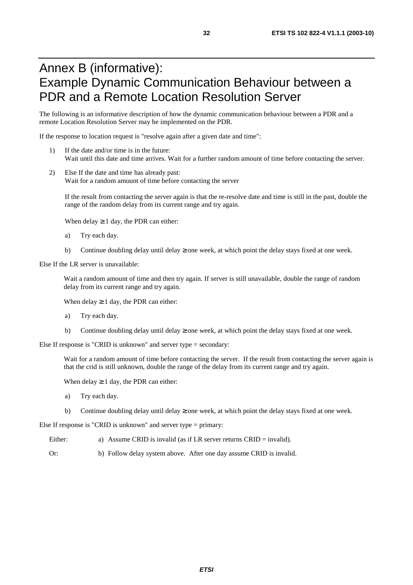## Annex B (informative): Example Dynamic Communication Behaviour between a PDR and a Remote Location Resolution Server

The following is an informative description of how the dynamic communication behaviour between a PDR and a remote Location Resolution Server may be implemented on the PDR.

If the response to location request is "resolve again after a given date and time":

- 1) If the date and/or time is in the future: Wait until this date and time arrives. Wait for a further random amount of time before contacting the server.
- 2) Else If the date and time has already past: Wait for a random amount of time before contacting the server

If the result from contacting the server again is that the re-resolve date and time is still in the past, double the range of the random delay from its current range and try again.

When delay  $\geq 1$  day, the PDR can either:

- a) Try each day.
- b) Continue doubling delay until delay  $\geq$  one week, at which point the delay stays fixed at one week.

Else If the LR server is unavailable:

Wait a random amount of time and then try again. If server is still unavailable, double the range of random delay from its current range and try again.

When delay  $\geq 1$  day, the PDR can either:

- a) Try each day.
- b) Continue doubling delay until delay  $\geq$  one week, at which point the delay stays fixed at one week.

Else If response is "CRID is unknown" and server type = secondary:

Wait for a random amount of time before contacting the server. If the result from contacting the server again is that the crid is still unknown, double the range of the delay from its current range and try again.

When delay  $\geq 1$  day, the PDR can either:

- a) Try each day.
- b) Continue doubling delay until delay  $\geq$  one week, at which point the delay stays fixed at one week.

Else If response is "CRID is unknown" and server type = primary:

- Either: a) Assume CRID is invalid (as if LR server returns CRID = invalid).
- Or: b) Follow delay system above. After one day assume CRID is invalid.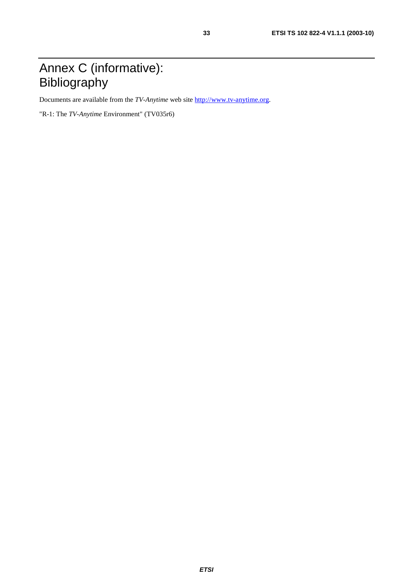## Annex C (informative): Bibliography

Documents are available from the *TV-Anytime* web site [http://www.tv-anytime.org](http://www.tv-anytime.org/).

"R-1: The *TV-Anytime* Environment" (TV035r6)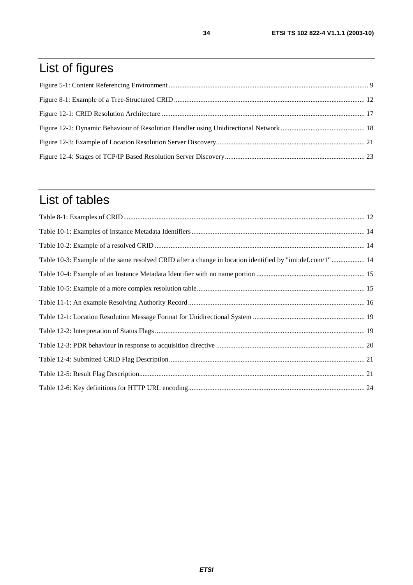## List of figures

## List of tables

| Table 10-3: Example of the same resolved CRID after a change in location identified by "imi:def.com/1" 14 |  |
|-----------------------------------------------------------------------------------------------------------|--|
|                                                                                                           |  |
|                                                                                                           |  |
|                                                                                                           |  |
|                                                                                                           |  |
|                                                                                                           |  |
|                                                                                                           |  |
|                                                                                                           |  |
|                                                                                                           |  |
|                                                                                                           |  |